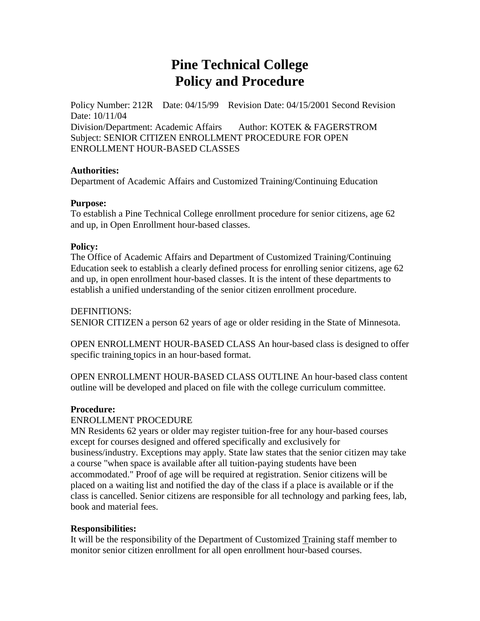# **Pine Technical College Policy and Procedure**

Policy Number: 212R Date: 04/15/99 Revision Date: 04/15/2001 Second Revision Date: 10/11/04 Division/Department: Academic Affairs Author: KOTEK & FAGERSTROM Subject: SENIOR CITIZEN ENROLLMENT PROCEDURE FOR OPEN ENROLLMENT HOUR-BASED CLASSES

#### **Authorities:**

Department of Academic Affairs and Customized Training/Continuing Education

#### **Purpose:**

To establish a Pine Technical College enrollment procedure for senior citizens, age 62 and up, in Open Enrollment hour-based classes.

### **Policy:**

The Office of Academic Affairs and Department of Customized Training/Continuing Education seek to establish a clearly defined process for enrolling senior citizens, age 62 and up, in open enrollment hour-based classes. It is the intent of these departments to establish a unified understanding of the senior citizen enrollment procedure.

DEFINITIONS: SENIOR CITIZEN a person 62 years of age or older residing in the State of Minnesota.

OPEN ENROLLMENT HOUR-BASED CLASS An hour-based class is designed to offer specific training topics in an hour-based format.

OPEN ENROLLMENT HOUR-BASED CLASS OUTLINE An hour-based class content outline will be developed and placed on file with the college curriculum committee.

#### **Procedure:**

## ENROLLMENT PROCEDURE

MN Residents 62 years or older may register tuition-free for any hour-based courses except for courses designed and offered specifically and exclusively for business/industry. Exceptions may apply. State law states that the senior citizen may take a course "when space is available after all tuition-paying students have been accommodated." Proof of age will be required at registration. Senior citizens will be placed on a waiting list and notified the day of the class if a place is available or if the class is cancelled. Senior citizens are responsible for all technology and parking fees, lab, book and material fees.

## **Responsibilities:**

It will be the responsibility of the Department of Customized Training staff member to monitor senior citizen enrollment for all open enrollment hour-based courses.